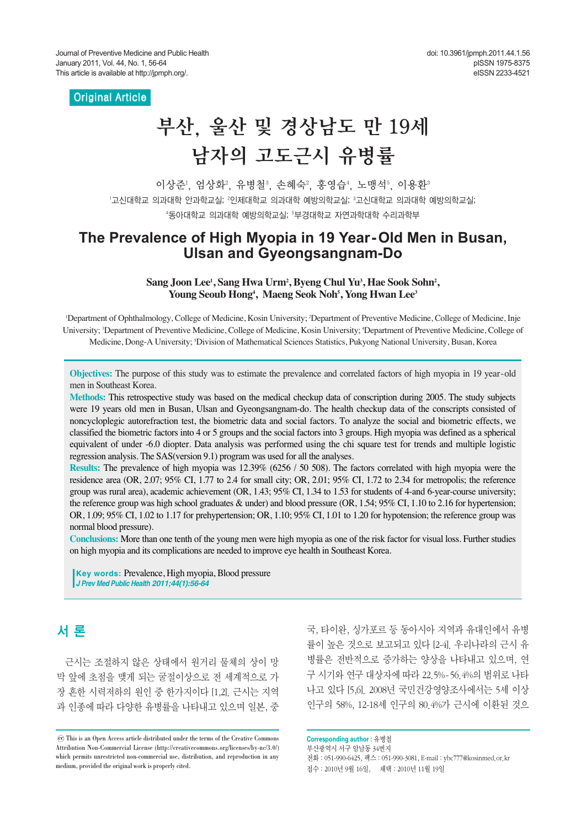### Original Article

# 부산, 울산 및 경상남도 만 19세 남자의 고도근시 유병률

이상준', 엄상화', 유병철', 손혜숙', 홍영습', 노맹석', 이용환' '고신대학교 의과대학 안과학교실; ?인제대학교 의과대학 예방의학교실; <sup>3</sup>고신대학교 의과대학 예방의학교실; "동아대학교 의과대학 예방의학교실; 『부경대학교 자연과학대학 수리과학부

# **The Prevalence of High Myopia in 19 Year-Old Men in Busan, Ulsan and Gyeongsangnam-Do**

Sang Joon Lee<sup>1</sup>, Sang Hwa Urm<sup>2</sup>, Byeng Chul Yu<sup>3</sup>, Hae Sook Sohn<sup>2</sup>, **Young Seoub Hong4 , Maeng Seok Noh5 , Yong Hwan Lee3**

'Department of Ophthalmology, College of Medicine, Kosin University; 'Department of Preventive Medicine, College of Medicine, Inje University; 3Department of Preventive Medicine, College of Medicine, Kosin University; 4Department of Preventive Medicine, College of Medicine, Dong-A University; 5 Division of Mathematical Sciences Statistics, Pukyong National University, Busan, Korea

**Objectives:** The purpose of this study was to estimate the prevalence and correlated factors of high myopia in 19 year-old men in Southeast Korea.

**Methods:** This retrospective study was based on the medical checkup data of conscription during 2005. The study subjects were 19 years old men in Busan, Ulsan and Gyeongsangnam-do. The health checkup data of the conscripts consisted of noncycloplegic autorefraction test, the biometric data and social factors. To analyze the social and biometric effects, we classified the biometric factors into 4 or 5 groups and the social factors into 3 groups. High myopia was defined as a spherical equivalent of under -6.0 diopter. Data analysis was performed using the chi square test for trends and multiple logistic regression analysis. The SAS(version 9.1) program was used for all the analyses.

**Results:** The prevalence of high myopia was 12.39% (6256 / 50 508). The factors correlated with high myopia were the residence area (OR, 2.07; 95% CI, 1.77 to 2.4 for small city; OR, 2.01; 95% CI, 1.72 to 2.34 for metropolis; the reference group was rural area), academic achievement (OR, 1.43; 95% CI, 1.34 to 1.53 for students of 4-and 6-year-course university; the reference group was high school graduates & under) and blood pressure (OR, 1.54; 95% CI, 1.10 to 2.16 for hypertension; OR, 1.09; 95% CI, 1.02 to 1.17 for prehypertension; OR, 1.10; 95% CI, 1.01 to 1.20 for hypotension; the reference group was normal blood pressure).

**Conclusions:** More than one tenth of the young men were high myopia as one of the risk factor for visual loss. Further studies on high myopia and its complications are needed to improve eye health in Southeast Korea.

**Key words: Prevalence, High myopia, Blood pressure** *J Prev Med Public Health 2011;44(1):56-64*

# 서 론

근시는 조절하지 않은 상태에서 원거리 물체의 상이 망 막 앞에 초점을 맺게 되는 굴절이상으로 전 세계적으로 가 장 흔한 시력저하의 원인 중 한가지이다 [1,2]. 근시는 지역 과 인종에 따라 다양한 유병률을 나타내고 있으며 일본, 중

국, 타이완, 싱가포르 등 동아시아 지역과 유대인에서 유병 률이 높은 것으로 보고되고 있다 [2-4]. 우리나라의 근시 유 병률은 전반적으로 증가하는 양상을 나타내고 있으며, 연 구 시기와 연구 대상자에 따라 22.5%-56.4%의 범위로 나타 나고 있다 [5,6]. 2008년 국민건강영양조사에서는 5세 이상 인구의 58%, 12-18세 인구의 80.4%가 근시에 이환된 것으

**Corresponding author :** 유병철 부산광역시 서구 암남동 34번지 전화 : 051-990-6425, 팩스 : 051-990-3081, E-mail : ybc777@kosinmed.or.kr 접수 : 2010년 9월 16일, 채택 : 2010년 11월 19일

 $\rm{co}$  This is an Open Access article distributed under the terms of the Creative Commons Attribution Non-Commercial License (http://creativecommons.org/licenses/by-nc/3.0/) which permits unrestricted non-commercial use, distribution, and reproduction in any medium, provided the original work is properly cited.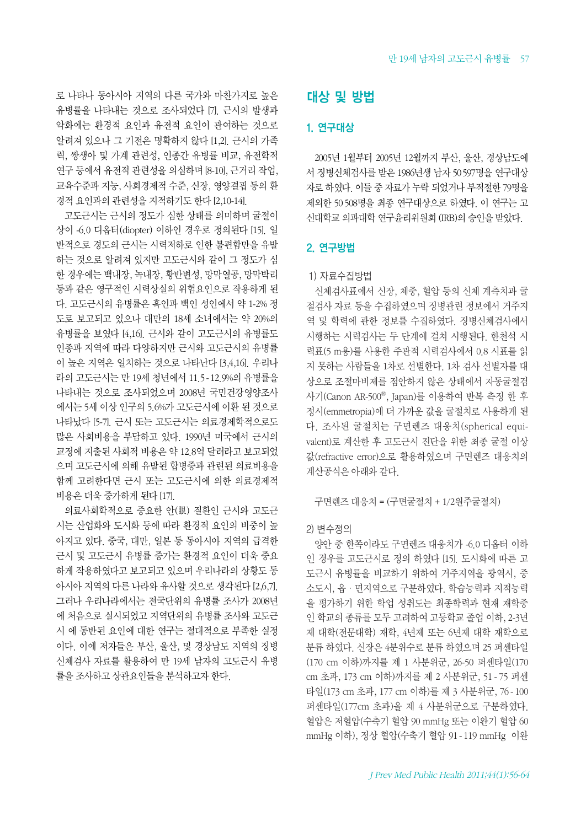로 나타나 동아시아 지역의 다른 국가와 마찬가지로 높은 유병률을 나타내는 것으로 조사되었다 [7]. 근시의 발생과 악화에는 환경적 요인과 유전적 요인이 관여하는 것으로 알려져 있으나 그 기전은 명확하지 않다 [1,2]. 근시의 가족 력, 쌍생아 및 가계 관련성, 인종간 유병률 비교, 유전학적 연구 등에서 유전적 관련성을 의심하며 [8-10], 근거리 작업, 교육수준과 지능, 사회경제적 수준, 신장, 영양결핍 등의 환 경적 요인과의 관련성을 지적하기도 한다 [2,10-14].

고도근시는 근시의 정도가 심한 상태를 의미하며 굴절이 상이 -6.0 디옵터(diopter) 이하인 경우로 정의된다 [15]. 일 반적으로 경도의 근시는 시력저하로 인한 불편함만을 유발 하는 것으로 알려져 있지만 고도근시와 같이 그 정도가 심 한 경우에는 백내장, 녹내장, 황반변성, 망막열공, 망막박리 등과 같은 영구적인 시력상실의 위험요인으로 작용하게 된 다. 고도근시의 유병률은 흑인과 백인 성인에서 약 1-2% 정 도로 보고되고 있으나 대만의 18세 소녀에서는 약 20%의 유병률을 보였다 [4,16]. 근시와 같이 고도근시의 유병률도 인종과 지역에 따라 다양하지만 근시와 고도근시의 유병률 이 높은 지역은 일치하는 것으로 나타난다 [3,4,16]. 우리나 라의 고도근시는 만 19세 청년에서 11.5-12.9%의 유병률을 나타내는 것으로 조사되었으며 2008년 국민건강영양조사 에서는 5세 이상 인구의 5.6%가 고도근시에 이환 된 것으로 나타났다 [5-7]. 근시 또는 고도근시는 의료경제학적으로도 많은 사회비용을 부담하고 있다. 1990년 미국에서 근시의 교정에 지출된 사회적 비용은 약 12.8억 달러라고 보고되었 으며 고도근시에 의해 유발된 합병증과 관련된 의료비용을 함께 고려한다면 근시 또는 고도근시에 의한 의료경제적 비용은 더욱 증가하게 된다 [17].

의료사회학적으로 중요한 안(眼) 질환인 근시와 고도근 시는 산업화와 도시화 등에 따라 환경적 요인의 비중이 높 아지고 있다. 중국, 대만, 일본 등 동아시아 지역의 급격한 근시 및 고도근시 유병률 증가는 환경적 요인이 더욱 중요 하게 작용하였다고 보고되고 있으며 우리나라의 상황도 동 아시아 지역의 다른 나라와 유사할 것으로 생각된다 [2,6,7]. 그러나 우리나라에서는 전국단위의 유병률 조사가 2008년 에 처음으로 실시되었고 지역단위의 유병률 조사와 고도근 시 에 동반된 요인에 대한 연구는 절대적으로 부족한 실정 이다. 이에 저자들은 부산, 울산, 및 경상남도 지역의 징병 신체검사 자료를 활용하여 만 19세 남자의 고도근시 유병 률을 조사하고 상관요인들을 분석하고자 한다.

# 대상 및 방법

#### 1. 연구대상

2005년 1월부터 2005년 12월까지 부산, 울산, 경상남도에 서 징병신체검사를 받은 1986년생 남자 50597명을 연구대상 자로 하였다. 이들 중 자료가 누락 되었거나 부적절한 79명을 제외한 50 508명을 최종 연구대상으로 하였다. 이 연구는 고 신대학교 의과대학 연구윤리위원회 (IRB)의 승인을 받았다.

#### 2. 연구방법

#### 1) 자료수집방법

신체검사표에서 신장, 체중, 혈압 등의 신체 계측치과 굴 절검사 자료 등을 수집하였으며 징병관련 정보에서 거주지 역 및 학력에 관한 정보를 수집하였다. 징병신체검사에서 시행하는 시력검사는 두 단계에 걸쳐 시행된다. 한천석 시 력표(5 m용)를 사용한 주관적 시력검사에서 0.8 시표를 읽 지 못하는 사람들을 1차로 선별한다. 1차 검사 선별자를 대 상으로 조절마비제를 점안하지 않은 상태에서 자동굴절검 사기(Canon AR-500®, Japan)를 이용하여 반복 측정 한 후 정시(emmetropia)에 더 가까운 값을 굴절치로 사용하게 된 다. 조사된 굴절치는 구면렌즈 대응치(spherical equivalent)로 계산한 후 고도근시 진단을 위한 최종 굴절 이상 값(refractive error)으로 활용하였으며 구면렌즈 대응치의 계산공식은 아래와 같다.

구면렌즈 대응치 = (구면굴절치 + 1/2원주굴절치)

#### 2) 변수정의

양안 중 한쪽이라도 구면렌즈 대응치가 -6.0 디옵터 이하 인 경우를 고도근시로 정의 하였다 [15]. 도시화에 따른 고 도근시 유병률을 비교하기 위하여 거주지역을 광역시, 중 소도시, 읍ㆍ면지역으로 구분하였다. 학습능력과 지적능력 을 평가하기 위한 학업 성취도는 최종학력과 현재 재학중 인 학교의 종류를 모두 고려하여 고등학교 졸업 이하, 2-3년 제 대학(전문대학) 재학, 4년제 또는 6년제 대학 재학으로 분류 하였다. 신장은 4분위수로 분류 하였으며 25 퍼센타일 (170 cm 이하)까지를 제 1 사분위군, 26-50 퍼센타일(170 cm 초과, 173 cm 이하)까지를 제 2 사분위군, 51 - 75 퍼센 타일(173 cm 초과, 177 cm 이하)를 제 3 사분위군, 76 - 100 퍼센타일(177cm 초과)을 제 4 사분위군으로 구분하였다. 혈압은 저혈압(수축기 혈압 90 mmHg 또는 이완기 혈압 60 mmHg 이하), 정상 혈압(수축기 혈압 91 - 119 mmHg 이완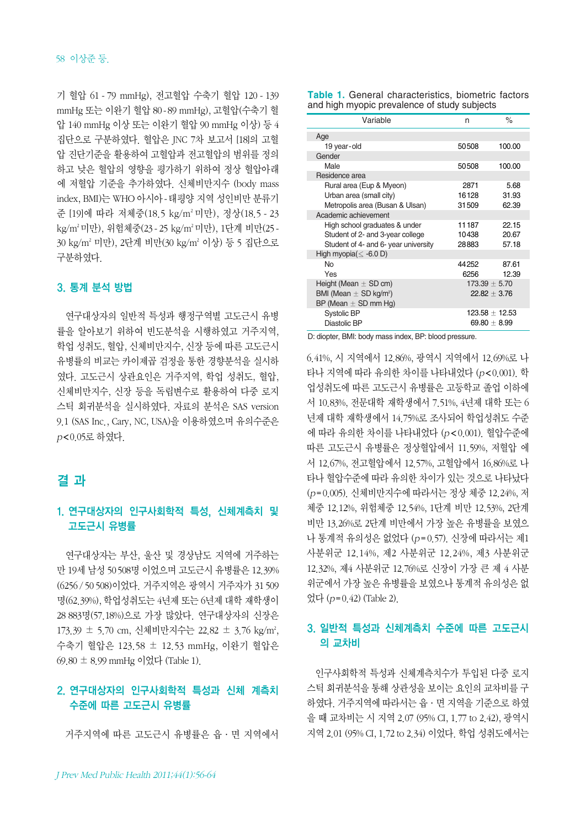기 혈압 61 - 79 mmHg), 전고혈압 수축기 혈압 120 - 139 mmHg 또는 이완기 혈압 80-89 mmHg), 고혈압(수축기 혈 압 140 mmHg 이상 또는 이완기 혈압 90 mmHg 이상) 등 4 집단으로 구분하였다. 혈압은 JNC 7차 보고서 [18]의 고혈 압 진단기준을 활용하여 고혈압과 전고혈압의 범위를 정의 하고 낮은 혈압의 영향을 평가하기 위하여 정상 혈압아래 에 저혈압 기준을 추가하였다. 신체비만지수 (body mass index, BMI)는 WHO 아시아-태평양 지역 성인비만 분류기 준 [19]에 따라 저체중(18.5 kg/m2 미만), 정상(18.5 - 23 kg/m2 미만), 위험체중(23 - 25 kg/m2 미만), 1단계 비만(25 - 30 kg/m2 미만), 2단계 비만(30 kg/m2 이상) 등 5 집단으로 구분하였다.

#### 3. 통계 분석 방법

연구대상자의 일반적 특성과 행정구역별 고도근시 유병 률을 알아보기 위하여 빈도분석을 시행하였고 거주지역, 학업 성취도, 혈압, 신체비만지수, 신장 등에 따른 고도근시 유병률의 비교는 카이제곱 검정을 통한 경향분석을 실시하 였다. 고도근시 상관요인은 거주지역, 학업 성취도, 혈압, 신체비만지수, 신장 등을 독립변수로 활용하여 다중 로지 스틱 회귀분석을 실시하였다. 자료의 분석은 SAS version 9.1 (SAS Inc., Cary, NC, USA)을 이용하였으며 유의수준은 p<0.05로 하였다.

## 결 과

## 1. 연구대상자의 인구사회학적 특성, 신체계측치 및 고도근시 유병률

연구대상자는 부산, 울산 및 경상남도 지역에 거주하는 만 19세 남성 50508명 이었으며 고도근시 유병률은 12.39% (6256 / 50 508)이었다. 거주지역은 광역시 거주자가 31 509 명(62.39%), 학업성취도는 4년제 또는 6년제 대학 재학생이 28 883명(57.18%)으로 가장 많았다. 연구대상자의 신장은 173.39 ± 5.70 cm, 신체비만지수는 22.82 ± 3.76 kg/m², 수축기 혈압은 123.58 ± 12.53 mmHg, 이완기 혈압은  $69.80 \pm 8.99$  mmHg 이었다 (Table 1).

## 2. 연구대상자의 인구사회학적 특성과 신체 계측치 수준에 따른 고도근시 유병률

거주지역에 따른 고도근시 유병률은 읍·면 지역에서

**Table 1.** General characteristics, biometric factors and high myopic prevalence of study subjects

| Variable                               | n                 | %                  |
|----------------------------------------|-------------------|--------------------|
| Age                                    |                   |                    |
| 19 year-old                            | 50508             | 100.00             |
| Gender                                 |                   |                    |
| Male                                   | 50508             | 100.00             |
| Residence area                         |                   |                    |
| Rural area (Eup & Myeon)               | 2871              | 5.68               |
| Urban area (small city)                | 16128             | 31.93              |
| Metropolis area (Busan & Ulsan)        | 31509             | 62.39              |
| Academic achievement                   |                   |                    |
| High school graduates & under          | 11187             | 22.15              |
| Student of 2- and 3-year college       | 10438             | 20.67              |
| Student of 4- and 6- year university   | 28883             | 57.18              |
| High myopia( $\leq$ -6.0 D)            |                   |                    |
| No                                     | 44 25 2           | 87.61              |
| Yes                                    | 6256              | 12.39              |
| Height (Mean $\pm$ SD cm)              | $173.39 \pm 5.70$ |                    |
| BMI (Mean $\pm$ SD kg/m <sup>2</sup> ) |                   | $22.82 + 3.76$     |
| BP (Mean $\pm$ SD mm Hg)               |                   |                    |
| <b>Systolic BP</b>                     |                   | $123.58 \pm 12.53$ |
| Diastolic BP                           |                   | $69.80 + 8.99$     |

D: diopter, BMI: body mass index, BP: blood pressure.

6.41%, 시 지역에서 12.86%, 광역시 지역에서 12.69%로 나 타나 지역에 따라 유의한 차이를 나타내었다 (p<0.001). 학 업성취도에 따른 고도근시 유병률은 고등학교 졸업 이하에 서 10.83%, 전문대학 재학생에서 7.51%, 4년제 대학 또는 6 년제 대학 재학생에서 14.75%로 조사되어 학업성취도 수준 에 따라 유의한 차이를 나타내었다 (p < 0.001). 혈압수준에 따른 고도근시 유병률은 정상혈압에서 11.59%, 저혈압 에 서 12.67%, 전고혈압에서 12.57%, 고혈압에서 16.86%로 나 타나 혈압수준에 따라 유의한 차이가 있는 것으로 나타났다 (p=0.005). 신체비만지수에 따라서는 정상 체중 12.24%, 저 체중 12.12%, 위험체중 12.54%, 1단계 비만 12.53%, 2단계 비만 13.26%로 2단계 비만에서 가장 높은 유병률을 보였으 나 통계적 유의성은 없었다 (p=0.57). 신장에 따라서는 제1 사분위군 12.14%, 제2 사분위군 12.24%, 제3 사분위군 12.32%, 제4 사분위군 12.76%로 신장이 가장 큰 제 4 사분 위군에서 가장 높은 유병률을 보였으나 통계적 유의성은 없 었다 (p=0.42) (Table 2).

## 3. 일반적 특성과 신체계측치 수준에 따른 고도근시 의 교차비

인구사회학적 특성과 신체계측치수가 투입된 다중 로지 스틱 회귀분석을 통해 상관성을 보이는 요인의 교차비를 구 하였다. 거주지역에 따라서는 읍·면 지역을 기준으로 하였 을 때 교차비는 시 지역 2.07 (95% CI, 1.77 to 2.42), 광역시 지역 2.01 (95% CI, 1.72 to 2.34) 이었다. 학업 성취도에서는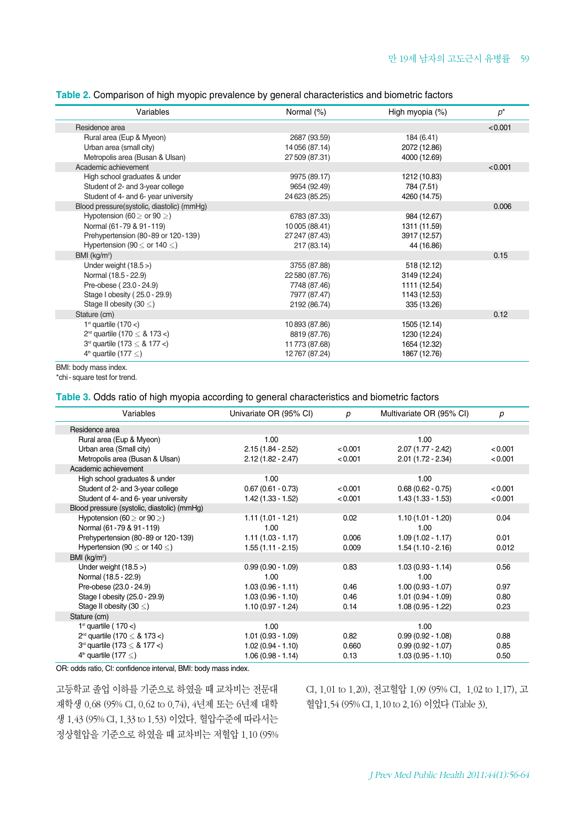|  |  | Table 2. Comparison of high myopic prevalence by general characteristics and biometric factors |  |
|--|--|------------------------------------------------------------------------------------------------|--|
|  |  |                                                                                                |  |

| Variables                                  | Normal (%)     | High myopia (%) | $p^*$   |
|--------------------------------------------|----------------|-----------------|---------|
| Residence area                             |                |                 | < 0.001 |
| Rural area (Eup & Myeon)                   | 2687 (93.59)   | 184 (6.41)      |         |
| Urban area (small city)                    | 14 056 (87.14) | 2072 (12.86)    |         |
| Metropolis area (Busan & Ulsan)            | 27 509 (87.31) | 4000 (12.69)    |         |
| Academic achievement                       |                |                 | < 0.001 |
| High school graduates & under              | 9975 (89.17)   | 1212 (10.83)    |         |
| Student of 2- and 3-year college           | 9654 (92.49)   | 784 (7.51)      |         |
| Student of 4- and 6- year university       | 24 623 (85.25) | 4260 (14.75)    |         |
| Blood pressure(systolic, diastolic) (mmHg) |                |                 | 0.006   |
| Hypotension (60 $\geq$ or 90 $\geq$ )      | 6783 (87.33)   | 984 (12.67)     |         |
| Normal (61-79 & 91-119)                    | 10005 (88.41)  | 1311 (11.59)    |         |
| Prehypertension (80-89 or 120-139)         | 27 247 (87.43) | 3917 (12.57)    |         |
| Hypertension (90 $\leq$ or 140 $\leq$ )    | 217 (83.14)    | 44 (16.86)      |         |
| BMI (kq/m <sup>2</sup> )                   |                |                 | 0.15    |
| Under weight $(18.5)$                      | 3755 (87.88)   | 518 (12.12)     |         |
| Normal (18.5 - 22.9)                       | 22 580 (87.76) | 3149 (12.24)    |         |
| Pre-obese (23.0 - 24.9)                    | 7748 (87.46)   | 1111 (12.54)    |         |
| Stage I obesity (25.0 - 29.9)              | 7977 (87.47)   | 1143 (12.53)    |         |
| Stage II obesity (30 $\leq$ )              | 2192 (86.74)   | 335 (13.26)     |         |
| Stature (cm)                               |                |                 | 0.12    |
| 1 <sup>st</sup> quartile $(170<)$          | 10893 (87.86)  | 1505 (12.14)    |         |
| $2^{nd}$ quartile (170 $\leq$ 8. 173 <)    | 8819 (87.76)   | 1230 (12.24)    |         |
| $3rd$ quartile (173 $\leq$ & 177 $\lt$ )   | 11773 (87.68)  | 1654 (12.32)    |         |
| $4th$ quartile (177 $\leq$ )               | 12767 (87.24)  | 1867 (12.76)    |         |

BMI: body mass index.

\*chi-square test for trend.

#### **Table 3.** Odds ratio of high myopia according to general characteristics and biometric factors

| Variables                                   | Univariate OR (95% CI) | р       | Multivariate OR (95% CI) | р       |
|---------------------------------------------|------------------------|---------|--------------------------|---------|
| Residence area                              |                        |         |                          |         |
| Rural area (Eup & Myeon)                    | 1.00                   |         | 1.00                     |         |
| Urban area (Small city)                     | $2.15(1.84 - 2.52)$    | < 0.001 | $2.07(1.77 - 2.42)$      | < 0.001 |
| Metropolis area (Busan & Ulsan)             | $2.12(1.82 - 2.47)$    | < 0.001 | $2.01(1.72 - 2.34)$      | < 0.001 |
| Academic achievement                        |                        |         |                          |         |
| High school graduates & under               | 1.00                   |         | 1.00                     |         |
| Student of 2- and 3-year college            | $0.67(0.61 - 0.73)$    | < 0.001 | $0.68(0.62 - 0.75)$      | < 0.001 |
| Student of 4- and 6- year university        | $1.42(1.33 - 1.52)$    | < 0.001 | $1.43(1.33 - 1.53)$      | < 0.001 |
| Blood pressure (systolic, diastolic) (mmHg) |                        |         |                          |         |
| Hypotension (60 $\geq$ or 90 $\geq$ )       | $1.11(1.01 - 1.21)$    | 0.02    | $1.10(1.01 - 1.20)$      | 0.04    |
| Normal (61-79 & 91-119)                     | 1.00                   |         | 1.00                     |         |
| Prehypertension (80-89 or 120-139)          | $1.11(1.03 - 1.17)$    | 0.006   | $1.09(1.02 - 1.17)$      | 0.01    |
| Hypertension (90 $\leq$ or 140 $\leq$ )     | $1.55(1.11 - 2.15)$    | 0.009   | $1.54(1.10 - 2.16)$      | 0.012   |
| BMI (kg/m <sup>2</sup> )                    |                        |         |                          |         |
| Under weight $(18.5)$                       | $0.99(0.90 - 1.09)$    | 0.83    | $1.03(0.93 - 1.14)$      | 0.56    |
| Normal (18.5 - 22.9)                        | 1.00                   |         | 1.00                     |         |
| Pre-obese (23.0 - 24.9)                     | $1.03(0.96 - 1.11)$    | 0.46    | $1.00(0.93 - 1.07)$      | 0.97    |
| Stage I obesity (25.0 - 29.9)               | $1.03(0.96 - 1.10)$    | 0.46    | $1.01(0.94 - 1.09)$      | 0.80    |
| Stage II obesity (30 $\leq$ )               | $1.10(0.97 - 1.24)$    | 0.14    | $1.08(0.95 - 1.22)$      | 0.23    |
| Stature (cm)                                |                        |         |                          |         |
| 1 <sup>st</sup> quartile (170 <)            | 1.00                   |         | 1.00                     |         |
| $2^{nd}$ quartile (170 $\leq$ & 173 <)      | $1.01(0.93 - 1.09)$    | 0.82    | $0.99(0.92 - 1.08)$      | 0.88    |
| $3rd$ quartile (173 $\leq$ & 177 <)         | $1.02(0.94 - 1.10)$    | 0.660   | $0.99(0.92 - 1.07)$      | 0.85    |
| $4th$ quartile (177 $\leq$ )                | $1.06(0.98 - 1.14)$    | 0.13    | $1.03(0.95 - 1.10)$      | 0.50    |

OR: odds ratio, CI: confidence interval, BMI: body mass index.

고등학교 졸업 이하를 기준으로 하였을 때 교차비는 전문대 재학생 0.68 (95% CI, 0.62 to 0.74), 4년제 또는 6년제 대학 생 1.43 (95% CI, 1.33 to 1.53) 이었다. 혈압수준에 따라서는 정상혈압을 기준으로 하였을 때 교차비는 저혈압 1.10 (95% CI, 1.01 to 1.20), 전고혈압 1.09 (95% CI, 1.02 to 1.17), 고 혈압1.54 (95% CI, 1.10 to 2.16) 이었다 (Table 3).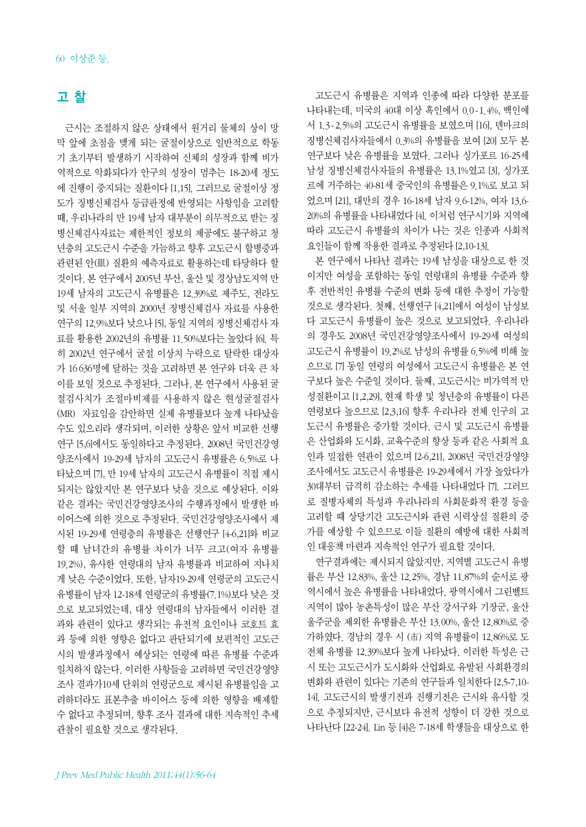## 고 찰

근시는 조절하지 않은 상태에서 원거리 물체의 상이 망 막 앞에 초점을 맺게 되는 굴절이상으로 일반적으로 학동 기 초기부터 발생하기 시작하여 신체의 성장과 함께 비가 역적으로 악화되다가 안구의 성장이 멈추는 18-20세 정도 에 진행이 중지되는 질환이다 [1,15]. 그러므로 굴절이상 정 도가 징병신체검사 등급판정에 반영되는 사항임을 고려할 때, 우리나라의 만 19세 남자 대부분이 의무적으로 받는 징 병신체검사자료는 제한적인 정보의 제공에도 불구하고 청 년층의 고도근시 수준을 가늠하고 향후 고도근시 합병증과 관련된 안(眼) 질환의 예측자료로 활용하는데 타당하다 할 것이다. 본 연구에서 2005년 부산, 울산 및 경상남도지역 만 19세 남자의 고도근시 유병률은 12.39%로 제주도, 전라도 및 서울 일부 지역의 2000년 징병신체검사 자료를 사용한 연구의 12.9%보다 낮으나 [5], 동일 지역의 징병신체검사 자 료를 활용한 2002년의 유병률 11.50%보다는 높았다 [6]. 특 히 2002년 연구에서 굴절 이상치 누락으로 탈락한 대상자 가 16 636명에 달하는 것을 고려하면 본 연구와 더욱 큰 차 이를 보일 것으로 추정된다. 그러나, 본 연구에서 사용된 굴 절검사치가 조절마비제를 사용하지 않은 현성굴절검사 (MR) 자료임을 감안하면 실제 유병률보다 높게 나타났을 수도 있으리라 생각되며, 이러한 상황은 앞서 비교한 선행 연구 [5,6]에서도 동일하다고 추정된다. 2008년 국민건강영 양조사에서 19-29세 남자의 고도근시 유병률은 6.5%로 나 타났으며 [7], 만 19세 남자의 고도근시 유병률이 직접 제시 되지는 않았지만 본 연구보다 낮을 것으로 예상된다. 이와 같은 결과는 국민건강영양조사의 수행과정에서 발생한 바 이어스에 의한 것으로 추정된다. 국민건강영양조사에서 제 시된 19-29세 연령층의 유병률은 선행연구 [4-6,21]와 비교 할 때 남녀간의 유병률 차이가 너무 크고(여자 유병률 19.2%), 유사한 연령대의 남자 유병률과 비교하여 지나치 게 낮은 수준이었다. 또한, 남자19-29세 연령군의 고도근시 유병률이 남자 12-18세 연령군의 유병률(7.1%)보다 낮은 것 으로 보고되었는데, 대상 연령대의 남자들에서 이러한 결 과와 관련이 있다고 생각되는 유전적 요인이나 코호트 효 과 등에 의한 영향은 없다고 판단되기에 보편적인 고도근 시의 발생과정에서 예상되는 연령에 따른 유병률 수준과 일치하지 않는다. 이러한 사항들을 고려하면 국민건강영양 조사 결과가10세 단위의 연령군으로 제시된 유병률임을 고 려하더라도 표본추출 바이어스 등에 의한 영향을 배제할 수 없다고 추정되며, 향후 조사 결과에 대한 지속적인 추세 관찰이 필요할 것으로 생각된다.

고도근시 유병률은 지역과 인종에 따라 다양한 분포를 나타내는데, 미국의 40대 이상 흑인에서 0.0-1.4%, 백인에 서 1.3-2.5%의 고도근시 유병률을 보였으며 [16], 덴마크의 징병신체검사자들에서 0.3%의 유병률을 보여 [20] 모두 본 연구보다 낮은 유병률을 보였다. 그러나 싱가포르 16-25세 남성 징병신체검사자들의 유병률은 13.1%였고 [3], 싱가포 르에 거주하는 40-81세 중국인의 유병률은 9.1%로 보고 되 었으며 [21], 대만의 경우 16-18세 남자 9.6-12%, 여자 13.6- 20%의 유병률을 나타내었다 [4]. 이처럼 연구시기와 지역에 따라 고도근시 유병률의 차이가 나는 것은 인종과 사회적 요인들이 함께 작용한 결과로 추정된다 [2,10-13].

본 연구에서 나타난 결과는 19세 남성을 대상으로 한 것 이지만 여성을 포함하는 동일 연령대의 유병률 수준과 향 후 전반적인 유병률 수준의 변화 등에 대한 추정이 가능할 것으로 생각된다. 첫째, 선행연구 [4,21]에서 여성이 남성보 다 고도근시 유병률이 높은 것으로 보고되었다. 우리나라 의 경우도 2008년 국민건강영양조사에서 19-29세 여성의 고도근시 유병률이 19.2%로 남성의 유병률 6.5%에 비해 높 으므로 [7] 동일 연령의 여성에서 고도근시 유병률은 본 연 구보다 높은 수준일 것이다. 둘째, 고도근시는 비가역적 만 성질환이고 [1,2,29], 현재 학생 및 청년층의 유병률이 다른 연령보다 높으므로 [2,3,16] 향후 우리나라 전체 인구의 고 도근시 유병률은 증가할 것이다. 근시 및 고도근시 유병률 은 산업화와 도시화, 교육수준의 향상 등과 같은 사회적 요 인과 밀접한 연관이 있으며 [2-6,21], 2008년 국민건강영양 조사에서도 고도근시 유병률은 19-29세에서 가장 높았다가 30대부터 급격히 감소하는 추세를 나타내었다 [7]. 그러므 로 질병자체의 특성과 우리나라의 사회문화적 환경 등을 고려할 때 상당기간 고도근시와 관련 시력상실 질환의 증 가를 예상할 수 있으므로 이들 질환의 예방에 대한 사회적 인 대응책 마련과 지속적인 연구가 필요할 것이다.

연구결과에는 제시되지 않았지만, 지역별 고도근시 유병 률은 부산 12.83%, 울산 12.25%, 경남 11.87%의 순서로 광 역시에서 높은 유병률을 나타내었다. 광역시에서 그린벨트 지역이 많아 농촌특성이 많은 부산 강서구와 기장군, 울산 울주군을 제외한 유병률은 부산 13.00%, 울산 12.80%로 증 가하였다. 경남의 경우 시 (市) 지역 유병률이 12.86%로 도 전체 유병률 12.39%보다 높게 나타났다. 이러한 특성은 근 시 또는 고도근시가 도시화와 산업화로 유발된 사회환경의 변화와 관련이 있다는 기존의 연구들과 일치한다 [2,5-7,10- 14]. 고도근시의 발생기전과 진행기전은 근시와 유사할 것 으로 추정되지만, 근시보다 유전적 성향이 더 강한 것으로 나타난다 [22-24]. Lin 등 [4]은 7-18세 학생들을 대상으로 한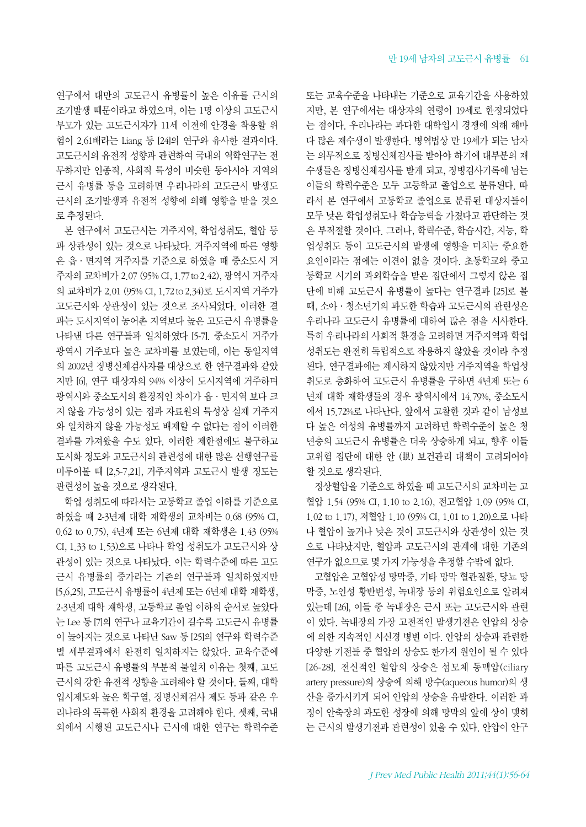연구에서 대만의 고도근시 유병률이 높은 이유를 근시의 조기발생 때문이라고 하였으며, 이는 1명 이상의 고도근시 부모가 있는 고도근시자가 11세 이전에 안경을 착용할 위 험이 2.61배라는 Liang 등 [24]의 연구와 유사한 결과이다. 고도근시의 유전적 성향과 관련하여 국내의 역학연구는 전 무하지만 인종적, 사회적 특성이 비슷한 동아시아 지역의 근시 유병률 등을 고려하면 우리나라의 고도근시 발생도 근시의 조기발생과 유전적 성향에 의해 영향을 받을 것으 로 추정된다.

본 연구에서 고도근시는 거주지역, 학업성취도, 혈압 등 과 상관성이 있는 것으로 나타났다. 거주지역에 따른 영향 은 읍·면지역 거주자를 기준으로 하였을 때 중소도시 거 주자의 교차비가 2.07 (95% CI, 1.77to 2.42), 광역시 거주자 의 교차비가 2.01 (95% CI, 1.72 to 2.34)로 도시지역 거주가 고도근시와 상관성이 있는 것으로 조사되었다. 이러한 결 과는 도시지역이 농어촌 지역보다 높은 고도근시 유병률을 나타낸 다른 연구들과 일치하였다 [5-7]. 중소도시 거주가 광역시 거주보다 높은 교차비를 보였는데, 이는 동일지역 의 2002년 징병신체검사자를 대상으로 한 연구결과와 같았 지만 [6], 연구 대상자의 94% 이상이 도시지역에 거주하며 광역시와 중소도시의 환경적인 차이가 읍·면지역 보다 크 지 않을 가능성이 있는 점과 자료원의 특성상 실제 거주지 와 일치하지 않을 가능성도 배제할 수 없다는 점이 이러한 결과를 가져왔을 수도 있다. 이러한 제한점에도 불구하고 도시화 정도와 고도근시의 관련성에 대한 많은 선행연구를 미루어볼 때 [2,5-7,21], 거주지역과 고도근시 발생 정도는 관련성이 높을 것으로 생각된다.

학업 성취도에 따라서는 고등학교 졸업 이하를 기준으로 하였을 때 2-3년제 대학 재학생의 교차비는 0.68 (95% CI, 0.62 to 0.75), 4년제 또는 6년제 대학 재학생은 1.43 (95% CI, 1.33 to 1.53)으로 나타나 학업 성취도가 고도근시와 상 관성이 있는 것으로 나타났다. 이는 학력수준에 따른 고도 근시 유병률의 증가라는 기존의 연구들과 일치하였지만 [5,6,25], 고도근시 유병률이 4년제 또는 6년제 대학 재학생, 2-3년제 대학 재학생, 고등학교 졸업 이하의 순서로 높았다 는 Lee 등 [7]의 연구나 교육기간이 길수록 고도근시 유병률 이 높아지는 것으로 나타난 Saw 등 [25]의 연구와 학력수준 별 세부결과에서 완전히 일치하지는 않았다. 교육수준에 따른 고도근시 유병률의 부분적 불일치 이유는 첫째, 고도 근시의 강한 유전적 성향을 고려해야 할 것이다. 둘째, 대학 입시제도와 높은 학구열, 징병신체검사 제도 등과 같은 우 리나라의 독특한 사회적 환경을 고려해야 한다. 셋째, 국내 외에서 시행된 고도근시나 근시에 대한 연구는 학력수준

또는 교육수준을 나타내는 기준으로 교육기간을 사용하였 지만, 본 연구에서는 대상자의 연령이 19세로 한정되었다 는 점이다. 우리나라는 과다한 대학입시 경쟁에 의해 해마 다 많은 재수생이 발생한다. 병역법상 만 19세가 되는 남자 는 의무적으로 징병신체검사를 받아야 하기에 대부분의 재 수생들은 징병신체검사를 받게 되고, 징병검사기록에 남는 이들의 학력수준은 모두 고등학교 졸업으로 분류된다. 따 라서 본 연구에서 고등학교 졸업으로 분류된 대상자들이 모두 낮은 학업성취도나 학습능력을 가졌다고 판단하는 것 은 부적절할 것이다. 그러나, 학력수준, 학습시간, 지능, 학 업성취도 등이 고도근시의 발생에 영향을 미치는 중요한 요인이라는 점에는 이견이 없을 것이다. 초등학교와 중고 등학교 시기의 과외학습을 받은 집단에서 그렇지 않은 집 단에 비해 고도근시 유병률이 높다는 연구결과 [25]로 볼 때, 소아·청소년기의 과도한 학습과 고도근시의 관련성은 우리나라 고도근시 유병률에 대하여 많은 점을 시사한다. 특히 우리나라의 사회적 환경을 고려하면 거주지역과 학업 성취도는 완전히 독립적으로 작용하지 않았을 것이라 추정 된다. 연구결과에는 제시하지 않았지만 거주지역을 학업성 취도로 층화하여 고도근시 유병률을 구하면 4년제 또는 6 년제 대학 재학생들의 경우 광역시에서 14.79%, 중소도시 에서 15.72%로 나타난다. 앞에서 고찰한 것과 같이 남성보 다 높은 여성의 유병률까지 고려하면 학력수준이 높은 청 년층의 고도근시 유병률은 더욱 상승하게 되고, 향후 이들 고위험 집단에 대한 안 (眼) 보건관리 대책이 고려되어야 할 것으로 생각된다.

정상혈압을 기준으로 하였을 때 고도근시의 교차비는 고 혈압 1.54 (95% CI, 1.10 to 2.16), 전고혈압 1.09 (95% CI, 1.02 to 1.17), 저혈압 1.10 (95% CI, 1.01 to 1.20)으로 나타 나 혈압이 높거나 낮은 것이 고도근시와 상관성이 있는 것 으로 나타났지만, 혈압과 고도근시의 관계에 대한 기존의 연구가 없으므로 몇 가지 가능성을 추정할 수밖에 없다.

고혈압은 고혈압성 망막증, 기타 망막 혈관질환, 당뇨 망 막증, 노인성 황반변성, 녹내장 등의 위험요인으로 알려져 있는데 [26], 이들 중 녹내장은 근시 또는 고도근시와 관련 이 있다. 녹내장의 가장 고전적인 발생기전은 안압의 상승 에 의한 지속적인 시신경 병변 이다. 안압의 상승과 관련한 다양한 기전들 중 혈압의 상승도 한가지 원인이 될 수 있다 [26-28]. 전신적인 혈압의 상승은 섬모체 동맥압(ciliary artery pressure)의 상승에 의해 방수(aqueous humor)의 생 산을 증가시키게 되어 안압의 상승을 유발한다. 이러한 과 정이 안축장의 과도한 성장에 의해 망막의 앞에 상이 맺히 는 근시의 발생기전과 관련성이 있을 수 있다. 안압이 안구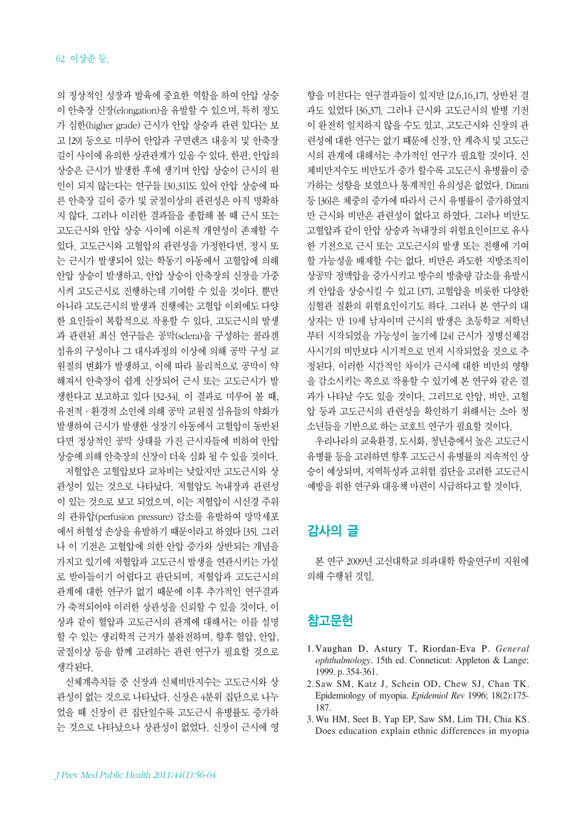의 정상적인 성장과 발육에 중요한 역할을 하여 안압 상승 이 안축장 신장(elongation)을 유발할 수 있으며, 특히 정도 가 심한(higher grade) 근시가 안압 상승과 관련 있다는 보 고 [29] 등으로 미루어 안압과 구면렌즈 대응치 및 안축장 길이 사이에 유의한 상관관계가 있을 수 있다. 한편, 안압의 상승은 근시가 발생한 후에 생기며 안압 상승이 근시의 원 인이 되지 않는다는 연구들 [30,31]도 있어 안압 상승에 따 른 안축장 길이 증가 및 굴절이상의 관련성은 아직 명확하 지 않다. 그러나 이러한 결과들을 종합해 볼 때 근시 또는 고도근시와 안압 상승 사이에 이론적 개연성이 존재할 수 있다. 고도근시와 고혈압의 관련성을 가정한다면, 정시 또 는 근시가 발생되어 있는 학동기 아동에서 고혈압에 의해 안압 상승이 발생하고, 안압 상승이 안축장의 신장을 가중 시켜 고도근시로 진행하는데 기여할 수 있을 것이다. 뿐만 아니라 고도근시의 발생과 진행에는 고혈압 이외에도 다양 한 요인들이 복합적으로 작용할 수 있다. 고도근시의 발생 과 관련된 최신 연구들은 공막(sclera)을 구성하는 콜라겐 섬유의 구성이나 그 대사과정의 이상에 의해 공막 구성 교 원질의 변화가 발생하고, 이에 따라 물리적으로 공막이 약 해져서 안축장이 쉽게 신장되어 근시 또는 고도근시가 발 생한다고 보고하고 있다 [32-34]. 이 결과로 미루어 볼 때, 유전적·환경적 소인에 의해 공막 교원질 섬유들의 약화가 발생하여 근시가 발생한 성장기 아동에서 고혈압이 동반된 다면 정상적인 공막 상태를 가진 근시자들에 비하여 안압 상승에 의해 안축장의 신장이 더욱 심화 될 수 있을 것이다. 저혈압은 고혈압보다 교차비는 낮았지만 고도근시와 상 관성이 있는 것으로 나타났다. 저혈압도 녹내장과 관련성 이 있는 것으로 보고 되었으며, 이는 저혈압이 시신경 주위 의 관류압(perfusion pressure) 감소를 유발하여 망막세포 에서 허혈성 손상을 유발하기 때문이라고 하였다 [35]. 그러 나 이 기전은 고혈압에 의한 안압 증가와 상반되는 개념을 가지고 있기에 저혈압과 고도근시 발생을 연관시키는 가설 로 받아들이기 어렵다고 판단되며, 저혈압과 고도근시의 관계에 대한 연구가 없기 때문에 이후 추가적인 연구결과 가 축적되어야 이러한 상관성을 신뢰할 수 있을 것이다. 이 상과 같이 혈압과 고도근시의 관계에 대해서는 이를 설명 할 수 있는 생리학적 근거가 불완전하며, 향후 혈압, 안압, 굴절이상 등을 함께 고려하는 관련 연구가 필요할 것으로 생각된다.

신체계측치들 중 신장과 신체비만지수는 고도근시와 상 관성이 없는 것으로 나타났다. 신장은 4분위 집단으로 나누 었을 때 신장이 큰 집단일수록 고도근시 유병률도 증가하 는 것으로 나타났으나 상관성이 없었다. 신장이 근시에 영 향을 미친다는 연구결과들이 있지만 [2,6,16,17], 상반된 결 과도 있었다 [36,37]. 그러나 근시와 고도근시의 발병 기전 이 완전히 일치하지 않을 수도 있고, 고도근시와 신장의 관 련성에 대한 연구는 없기 때문에 신장, 안 계측치 및 고도근 시의 관계에 대해서는 추가적인 연구가 필요할 것이다. 신 체비만지수도 비만도가 증가 할수록 고도근시 유병률이 증 가하는 성향을 보였으나 통계적인 유의성은 없었다. Dirani 등 [36]은 체중의 증가에 따라서 근시 유병률이 증가하였지 만 근시와 비만은 관련성이 없다고 하였다. 그러나 비만도 고혈압과 같이 안압 상승과 녹내장의 위험요인이므로 유사 한 기전으로 근시 또는 고도근시의 발생 또는 진행에 기여 할 가능성을 배제할 수는 없다. 비만은 과도한 지방조직이 상공막 정맥압을 증가시키고 방수의 방출량 감소를 유발시 켜 안압을 상승시킬 수 있고 [37], 고혈압을 비롯한 다양한 심혈관 질환의 위험요인이기도 하다. 그러나 본 연구의 대 상자는 만 19세 남자이며 근시의 발생은 초등학교 저학년 부터 시작되었을 가능성이 높기에 [24] 근시가 징병신체검 사시기의 비만보다 시기적으로 먼저 시작되었을 것으로 추 정된다. 이러한 시간적인 차이가 근시에 대한 비만의 영향 을 감소시키는 쪽으로 작용할 수 있기에 본 연구와 같은 결 과가 나타날 수도 있을 것이다. 그러므로 안압, 비만, 고혈 압 등과 고도근시의 관련성을 확인하기 위해서는 소아 청 소년들을 기반으로 하는 코호트 연구가 필요할 것이다.

우리나라의 교육환경, 도시화, 청년층에서 높은 고도근시 유병률 등을 고려하면 향후 고도근시 유병률의 지속적인 상 승이 예상되며, 지역특성과 고위험 집단을 고려한 고도근시 예방을 위한 연구와 대응책 마련이 시급하다고 할 것이다.

# 감사의 글

본 연구 2009년 고신대학교 의과대학 학술연구비 지원에 의해 수행된 것임.

# 참고문헌

- 1. Vaughan D, Astury T, Riordan-Eva P. *General ophthalmology*. 15th ed. Conneticut: Appleton & Lange; 1999. p. 354-361.
- 2. Saw SM, Katz J, Schein OD, Chew SJ, Chan TK. Epidemiology of myopia. *Epidemiol Rev* 1996; 18(2):175- 187.
- 3. Wu HM, Seet B, Yap EP, Saw SM, Lim TH, Chia KS. Does education explain ethnic differences in myopia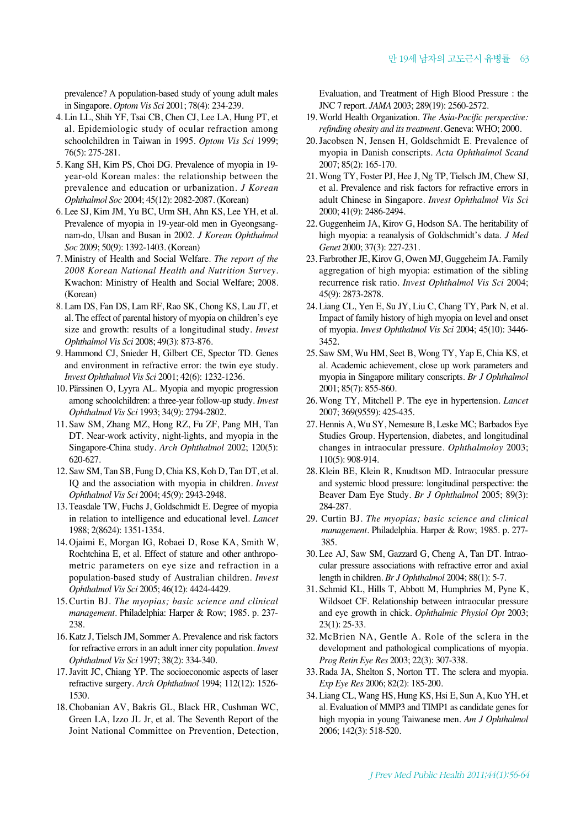prevalence? A population-based study of young adult males in Singapore. *Optom Vis Sci* 2001; 78(4): 234-239.

- 4. Lin LL, Shih YF, Tsai CB, Chen CJ, Lee LA, Hung PT, et al. Epidemiologic study of ocular refraction among schoolchildren in Taiwan in 1995. *Optom Vis Sci* 1999; 76(5): 275-281.
- 5. Kang SH, Kim PS, Choi DG. Prevalence of myopia in 19 year-old Korean males: the relationship between the prevalence and education or urbanization. *J Korean Ophthalmol Soc* 2004; 45(12): 2082-2087. (Korean)
- 6. Lee SJ, Kim JM, Yu BC, Urm SH, Ahn KS, Lee YH, et al. Prevalence of myopia in 19-year-old men in Gyeongsangnam-do, Ulsan and Busan in 2002. *J Korean Ophthalmol Soc* 2009; 50(9): 1392-1403. (Korean)
- 7. Ministry of Health and Social Welfare. *The report of the 2008 Korean National Health and Nutrition Survey.* Kwachon: Ministry of Health and Social Welfare; 2008. (Korean)
- 8. Lam DS, Fan DS, Lam RF, Rao SK, Chong KS, Lau JT, et al. The effect of parental history of myopia on children's eye size and growth: results of a longitudinal study. *Invest Ophthalmol Vis Sci* 2008; 49(3): 873-876.
- 9. Hammond CJ, Snieder H, Gilbert CE, Spector TD. Genes and environment in refractive error: the twin eye study. *Invest Ophthalmol Vis Sci* 2001; 42(6): 1232-1236.
- 10. Pärssinen O, Lyyra AL. Myopia and myopic progression among schoolchildren: a three-year follow-up study. *Invest Ophthalmol Vis Sci* 1993; 34(9): 2794-2802.
- 11. Saw SM, Zhang MZ, Hong RZ, Fu ZF, Pang MH, Tan DT. Near-work activity, night-lights, and myopia in the Singapore-China study. *Arch Ophthalmol* 2002; 120(5): 620-627.
- 12. Saw SM, Tan SB, Fung D, Chia KS, Koh D, Tan DT, et al. IQ and the association with myopia in children. *Invest Ophthalmol Vis Sci* 2004; 45(9): 2943-2948.
- 13. Teasdale TW, Fuchs J, Goldschmidt E. Degree of myopia in relation to intelligence and educational level. *Lancet* 1988; 2(8624): 1351-1354.
- 14. Ojaimi E, Morgan IG, Robaei D, Rose KA, Smith W, Rochtchina E, et al. Effect of stature and other anthropometric parameters on eye size and refraction in a population-based study of Australian children. *Invest Ophthalmol Vis Sci* 2005; 46(12): 4424-4429.
- 15. Curtin BJ. *The myopias; basic science and clinical management.* Philadelphia: Harper & Row; 1985. p. 237- 238.
- 16. Katz J, Tielsch JM, Sommer A. Prevalence and risk factors for refractive errors in an adult inner city population. *Invest Ophthalmol Vis Sci* 1997; 38(2): 334-340.
- 17. Javitt JC, Chiang YP. The socioeconomic aspects of laser refractive surgery. *Arch Ophthalmol* 1994; 112(12): 1526- 1530.
- 18. Chobanian AV, Bakris GL, Black HR, Cushman WC, Green LA, Izzo JL Jr, et al. The Seventh Report of the Joint National Committee on Prevention, Detection,

Evaluation, and Treatment of High Blood Pressure : the JNC 7 report. *JAMA* 2003; 289(19): 2560-2572.

- 19. World Health Organization. *The Asia-Pacific perspective: refinding obesity and its treatment*. Geneva: WHO; 2000.
- 20. Jacobsen N, Jensen H, Goldschmidt E. Prevalence of myopia in Danish conscripts. *Acta Ophthalmol Scand* 2007; 85(2): 165-170.
- 21. Wong TY, Foster PJ, Hee J, Ng TP, Tielsch JM, Chew SJ, et al. Prevalence and risk factors for refractive errors in adult Chinese in Singapore. *Invest Ophthalmol Vis Sci* 2000; 41(9): 2486-2494.
- 22. Guggenheim JA, Kirov G, Hodson SA. The heritability of high myopia: a reanalysis of Goldschmidt's data. *J Med Genet* 2000; 37(3): 227-231.
- 23. Farbrother JE, Kirov G, Owen MJ, Guggeheim JA. Family aggregation of high myopia: estimation of the sibling recurrence risk ratio. *Invest Ophthalmol Vis Sci* 2004; 45(9): 2873-2878.
- 24. Liang CL, Yen E, Su JY, Liu C, Chang TY, Park N, et al. Impact of family history of high myopia on level and onset of myopia. *Invest Ophthalmol Vis Sci* 2004; 45(10): 3446- 3452.
- 25. Saw SM, Wu HM, Seet B, Wong TY, Yap E, Chia KS, et al. Academic achievement, close up work parameters and myopia in Singapore military conscripts. *Br J Ophthalmol* 2001; 85(7): 855-860.
- 26. Wong TY, Mitchell P. The eye in hypertension. *Lancet* 2007; 369(9559): 425-435.
- 27. Hennis A, Wu SY, Nemesure B, Leske MC; Barbados Eye Studies Group. Hypertension, diabetes, and longitudinal changes in intraocular pressure. *Ophthalmoloy* 2003; 110(5): 908-914.
- 28. Klein BE, Klein R, Knudtson MD. Intraocular pressure and systemic blood pressure: longitudinal perspective: the Beaver Dam Eye Study. *Br J Ophthalmol* 2005; 89(3): 284-287.
- 29. Curtin BJ. *The myopias; basic science and clinical management.* Philadelphia. Harper & Row; 1985. p. 277- 385.
- 30. Lee AJ, Saw SM, Gazzard G, Cheng A, Tan DT. Intraocular pressure associations with refractive error and axial length in children. *Br J Ophthalmol* 2004; 88(1): 5-7.
- 31. Schmid KL, Hills T, Abbott M, Humphries M, Pyne K, Wildsoet CF. Relationship between intraocular pressure and eye growth in chick. *Ophthalmic Physiol Opt* 2003; 23(1): 25-33.
- 32. McBrien NA, Gentle A. Role of the sclera in the development and pathological complications of myopia. *Prog Retin Eye Res* 2003; 22(3): 307-338.
- 33. Rada JA, Shelton S, Norton TT. The sclera and myopia. *Exp Eye Res* 2006; 82(2): 185-200.
- 34. Liang CL, Wang HS, Hung KS, Hsi E, Sun A, Kuo YH, et al. Evaluation of MMP3 and TIMP1 as candidate genes for high myopia in young Taiwanese men. *Am J Ophthalmol* 2006; 142(3): 518-520.